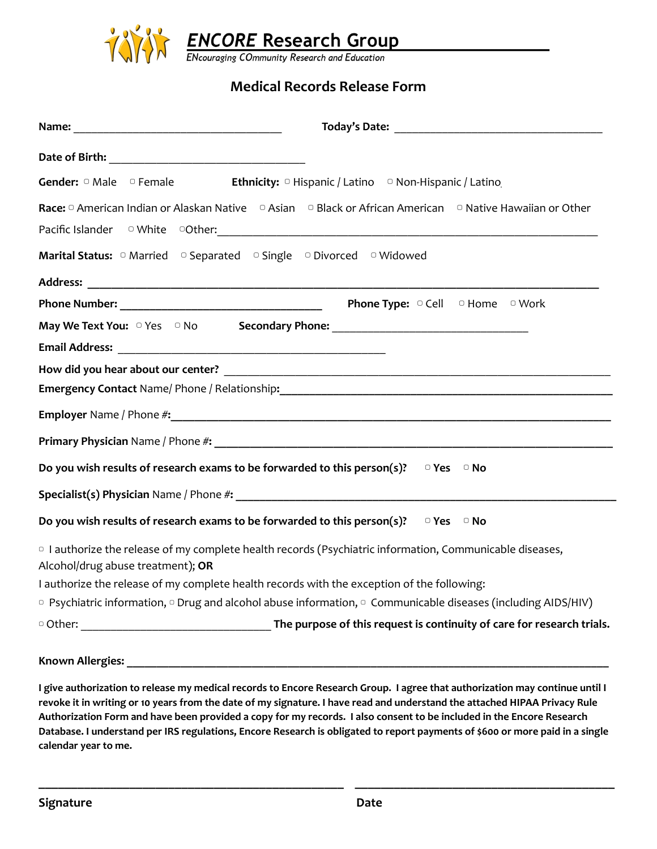

## **Medical Records Release Form**

| Gender: $\Box$ Male $\Box$ Female<br><b>Ethnicity:</b> $\circ$ Hispanic / Latino $\circ$ Non-Hispanic / Latino                                                                                                                                                                                                                                                 |
|----------------------------------------------------------------------------------------------------------------------------------------------------------------------------------------------------------------------------------------------------------------------------------------------------------------------------------------------------------------|
| Race: $\Box$ American Indian or Alaskan Native $\Box$ Asian $\Box$ Black or African American $\Box$ Native Hawaiian or Other<br>Pacific Islander o White o Other: 2001 - 2012 - 2014 - 2015 - 2016 - 2017 - 2018 - 2019 - 2019 - 2019 - 2019 - 2019 - 2019 - 2019 - 2019 - 2019 - 2019 - 2019 - 2019 - 2019 - 2019 - 2019 - 2019 - 2019 - 2019 - 2019 - 2019 - |
|                                                                                                                                                                                                                                                                                                                                                                |
|                                                                                                                                                                                                                                                                                                                                                                |
|                                                                                                                                                                                                                                                                                                                                                                |
|                                                                                                                                                                                                                                                                                                                                                                |
|                                                                                                                                                                                                                                                                                                                                                                |
|                                                                                                                                                                                                                                                                                                                                                                |
| Emergency Contact Name/ Phone / Relationship: Manual Manual Manual Manual Manual Manual Manual Manual Manual                                                                                                                                                                                                                                                   |
|                                                                                                                                                                                                                                                                                                                                                                |
|                                                                                                                                                                                                                                                                                                                                                                |
| Do you wish results of research exams to be forwarded to this person(s)?<br>$\Box$ Yes $\Box$ No                                                                                                                                                                                                                                                               |
|                                                                                                                                                                                                                                                                                                                                                                |
| Do you wish results of research exams to be forwarded to this person(s)? $\Box$ Yes $\Box$ No                                                                                                                                                                                                                                                                  |
| <sup>o</sup> I authorize the release of my complete health records (Psychiatric information, Communicable diseases,<br>Alcohol/drug abuse treatment); OR                                                                                                                                                                                                       |
| I authorize the release of my complete health records with the exception of the following:                                                                                                                                                                                                                                                                     |
| <sup>o</sup> Psychiatric information, <sup>o</sup> Drug and alcohol abuse information, <sup>o</sup> Communicable diseases (including AIDS/HIV)                                                                                                                                                                                                                 |
|                                                                                                                                                                                                                                                                                                                                                                |
| Known Allergies                                                                                                                                                                                                                                                                                                                                                |

## **Known Allergies: \_\_\_\_\_\_\_\_\_\_\_\_\_\_\_\_\_\_\_\_\_\_\_\_\_\_\_\_\_\_\_\_\_\_\_\_\_\_\_\_\_\_\_\_\_\_\_\_\_\_\_\_\_\_\_\_\_\_\_\_\_\_\_\_\_\_\_\_\_\_\_\_\_\_\_\_\_\_\_\_\_**

I give authorization to release my medical records to Encore Research Group. I agree that authorization may continue until I revoke it in writing or 10 years from the date of my signature. I have read and understand the attached HIPAA Privacy Rule Authorization Form and have been provided a copy for my records. I also consent to be included in the Encore Research Database. I understand per IRS regulations, Encore Research is obligated to report payments of \$600 or more paid in a single **calendar year to me.**

**\_\_\_\_\_\_\_\_\_\_\_\_\_\_\_\_\_\_\_\_\_\_\_\_\_\_\_\_\_\_\_\_\_\_\_\_\_\_\_\_\_\_\_\_\_\_\_ \_\_\_\_\_\_\_\_\_\_\_\_\_\_\_\_\_\_\_\_\_\_\_\_\_\_\_\_\_\_\_\_\_\_\_\_\_\_\_\_**